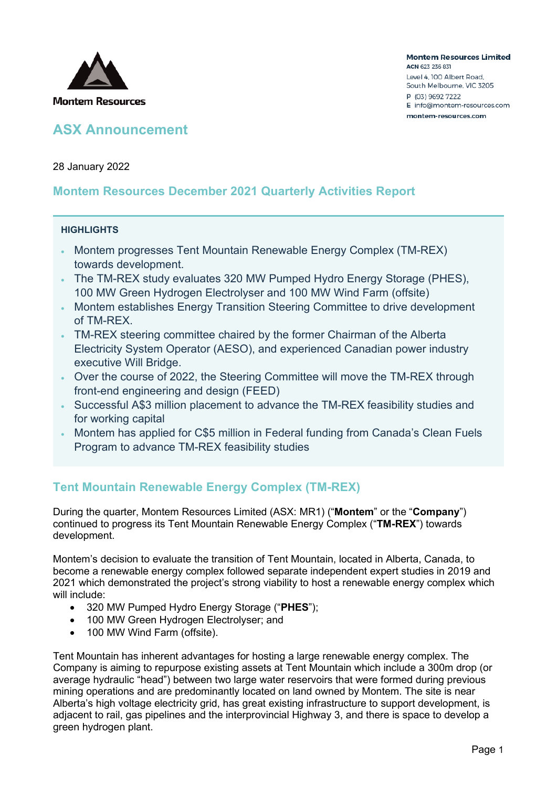

**Montem Resources Limited** ACN 623 236 831 Level 4, 100 Albert Road, South Melbourne, VIC 3205 P (03) 9692 7222 E info@montem-resources.com montem-resources.com

28 January 2022

### **Montem Resources December 2021 Quarterly Activities Report**

#### **HIGHLIGHTS**

- Montem progresses Tent Mountain Renewable Energy Complex (TM-REX) towards development.
- The TM-REX study evaluates 320 MW Pumped Hydro Energy Storage (PHES), 100 MW Green Hydrogen Electrolyser and 100 MW Wind Farm (offsite)
- Montem establishes Energy Transition Steering Committee to drive development of TM-REX.
- TM-REX steering committee chaired by the former Chairman of the Alberta Electricity System Operator (AESO), and experienced Canadian power industry executive Will Bridge.
- Over the course of 2022, the Steering Committee will move the TM-REX through front-end engineering and design (FEED)
- Successful A\$3 million placement to advance the TM-REX feasibility studies and for working capital
- Montem has applied for C\$5 million in Federal funding from Canada's Clean Fuels Program to advance TM-REX feasibility studies

# **Tent Mountain Renewable Energy Complex (TM-REX)**

During the quarter, Montem Resources Limited (ASX: MR1) ("**Montem**" or the "**Company**") continued to progress its Tent Mountain Renewable Energy Complex ("**TM-REX**") towards development.

Montem's decision to evaluate the transition of Tent Mountain, located in Alberta, Canada, to become a renewable energy complex followed separate independent expert studies in 2019 and 2021 which demonstrated the project's strong viability to host a renewable energy complex which will include:

- 320 MW Pumped Hydro Energy Storage ("**PHES**");
- 100 MW Green Hydrogen Electrolyser; and
- 100 MW Wind Farm (offsite).

Tent Mountain has inherent advantages for hosting a large renewable energy complex. The Company is aiming to repurpose existing assets at Tent Mountain which include a 300m drop (or average hydraulic "head") between two large water reservoirs that were formed during previous mining operations and are predominantly located on land owned by Montem. The site is near Alberta's high voltage electricity grid, has great existing infrastructure to support development, is adjacent to rail, gas pipelines and the interprovincial Highway 3, and there is space to develop a green hydrogen plant.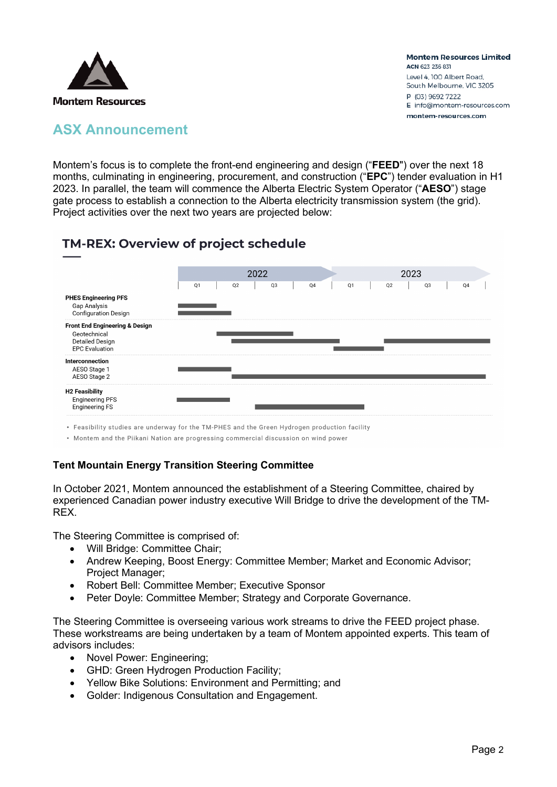

Montem's focus is to complete the front-end engineering and design ("**FEED**") over the next 18 months, culminating in engineering, procurement, and construction ("**EPC**") tender evaluation in H1 2023. In parallel, the team will commence the Alberta Electric System Operator ("**AESO**") stage gate process to establish a connection to the Alberta electricity transmission system (the grid). Project activities over the next two years are projected below:

# TM-REX: Overview of project schedule



• Feasibility studies are underway for the TM-PHES and the Green Hydrogen production facility

. Montem and the Piikani Nation are progressing commercial discussion on wind power

### **Tent Mountain Energy Transition Steering Committee**

In October 2021, Montem announced the establishment of a Steering Committee, chaired by experienced Canadian power industry executive Will Bridge to drive the development of the TM-REX.

The Steering Committee is comprised of:

- Will Bridge: Committee Chair;
- Andrew Keeping, Boost Energy: Committee Member; Market and Economic Advisor; Project Manager;
- Robert Bell: Committee Member; Executive Sponsor
- Peter Doyle: Committee Member; Strategy and Corporate Governance.

The Steering Committee is overseeing various work streams to drive the FEED project phase. These workstreams are being undertaken by a team of Montem appointed experts. This team of advisors includes:

- Novel Power: Engineering;
- GHD: Green Hydrogen Production Facility;
- Yellow Bike Solutions: Environment and Permitting; and
- Golder: Indigenous Consultation and Engagement.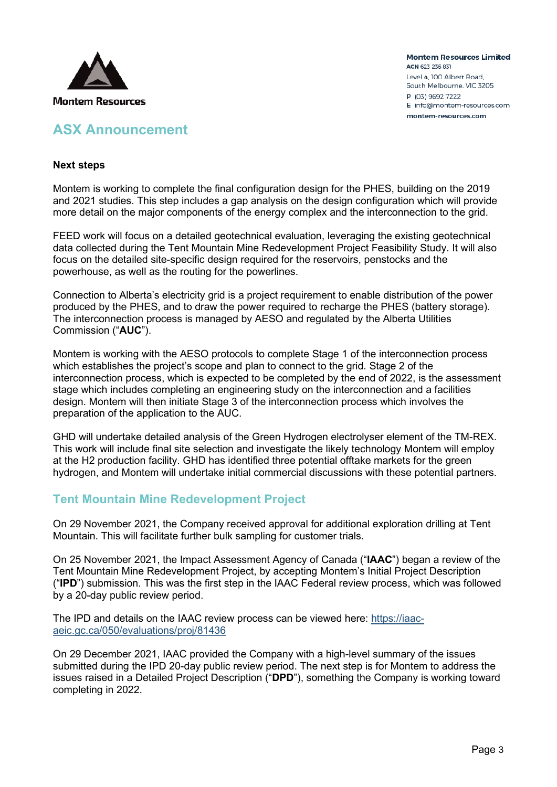

**Montem Resources Limited** ACN 623 236 831 Level 4, 100 Albert Road, South Melbourne, VIC 3205 P (03) 9692 7222 E info@montem-resources.com montem-resources.com

#### **Next steps**

Montem is working to complete the final configuration design for the PHES, building on the 2019 and 2021 studies. This step includes a gap analysis on the design configuration which will provide more detail on the major components of the energy complex and the interconnection to the grid.

FEED work will focus on a detailed geotechnical evaluation, leveraging the existing geotechnical data collected during the Tent Mountain Mine Redevelopment Project Feasibility Study. It will also focus on the detailed site-specific design required for the reservoirs, penstocks and the powerhouse, as well as the routing for the powerlines.

Connection to Alberta's electricity grid is a project requirement to enable distribution of the power produced by the PHES, and to draw the power required to recharge the PHES (battery storage). The interconnection process is managed by AESO and regulated by the Alberta Utilities Commission ("**AUC**").

Montem is working with the AESO protocols to complete Stage 1 of the interconnection process which establishes the project's scope and plan to connect to the grid. Stage 2 of the interconnection process, which is expected to be completed by the end of 2022, is the assessment stage which includes completing an engineering study on the interconnection and a facilities design. Montem will then initiate Stage 3 of the interconnection process which involves the preparation of the application to the AUC.

GHD will undertake detailed analysis of the Green Hydrogen electrolyser element of the TM-REX. This work will include final site selection and investigate the likely technology Montem will employ at the H2 production facility. GHD has identified three potential offtake markets for the green hydrogen, and Montem will undertake initial commercial discussions with these potential partners.

### **Tent Mountain Mine Redevelopment Project**

On 29 November 2021, the Company received approval for additional exploration drilling at Tent Mountain. This will facilitate further bulk sampling for customer trials.

On 25 November 2021, the Impact Assessment Agency of Canada ("**IAAC**") began a review of the Tent Mountain Mine Redevelopment Project, by accepting Montem's Initial Project Description ("**IPD**") submission. This was the first step in the IAAC Federal review process, which was followed by a 20-day public review period.

The IPD and details on the IAAC review process can be viewed here: [https://iaac](https://iaac-aeic.gc.ca/050/evaluations/proj/81436)[aeic.gc.ca/050/evaluations/proj/81436](https://iaac-aeic.gc.ca/050/evaluations/proj/81436) 

On 29 December 2021, IAAC provided the Company with a high-level summary of the issues submitted during the IPD 20-day public review period. The next step is for Montem to address the issues raised in a Detailed Project Description ("**DPD**"), something the Company is working toward completing in 2022.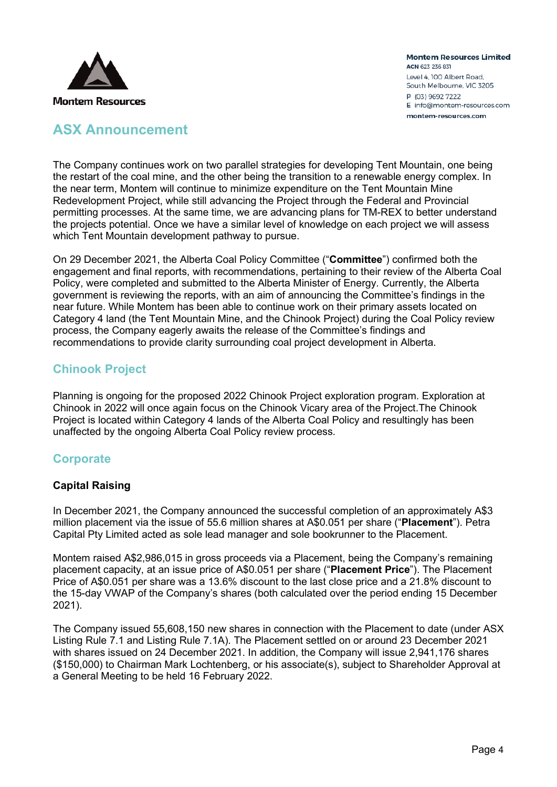

### **ASX Announcement**

The Company continues work on two parallel strategies for developing Tent Mountain, one being the restart of the coal mine, and the other being the transition to a renewable energy complex. In the near term, Montem will continue to minimize expenditure on the Tent Mountain Mine Redevelopment Project, while still advancing the Project through the Federal and Provincial permitting processes. At the same time, we are advancing plans for TM-REX to better understand the projects potential. Once we have a similar level of knowledge on each project we will assess which Tent Mountain development pathway to pursue.

On 29 December 2021, the Alberta Coal Policy Committee ("**Committee**") confirmed both the engagement and final reports, with recommendations, pertaining to their review of the Alberta Coal Policy, were completed and submitted to the Alberta Minister of Energy. Currently, the Alberta government is reviewing the reports, with an aim of announcing the Committee's findings in the near future. While Montem has been able to continue work on their primary assets located on Category 4 land (the Tent Mountain Mine, and the Chinook Project) during the Coal Policy review process, the Company eagerly awaits the release of the Committee's findings and recommendations to provide clarity surrounding coal project development in Alberta.

### **Chinook Project**

Planning is ongoing for the proposed 2022 Chinook Project exploration program. Exploration at Chinook in 2022 will once again focus on the Chinook Vicary area of the Project.The Chinook Project is located within Category 4 lands of the Alberta Coal Policy and resultingly has been unaffected by the ongoing Alberta Coal Policy review process.

# **Corporate**

### **Capital Raising**

In December 2021, the Company announced the successful completion of an approximately A\$3 million placement via the issue of 55.6 million shares at A\$0.051 per share ("**Placement**"). Petra Capital Pty Limited acted as sole lead manager and sole bookrunner to the Placement.

Montem raised A\$2,986,015 in gross proceeds via a Placement, being the Company's remaining placement capacity, at an issue price of A\$0.051 per share ("**Placement Price**"). The Placement Price of A\$0.051 per share was a 13.6% discount to the last close price and a 21.8% discount to the 15-day VWAP of the Company's shares (both calculated over the period ending 15 December 2021).

The Company issued 55,608,150 new shares in connection with the Placement to date (under ASX Listing Rule 7.1 and Listing Rule 7.1A). The Placement settled on or around 23 December 2021 with shares issued on 24 December 2021. In addition, the Company will issue 2,941,176 shares (\$150,000) to Chairman Mark Lochtenberg, or his associate(s), subject to Shareholder Approval at a General Meeting to be held 16 February 2022.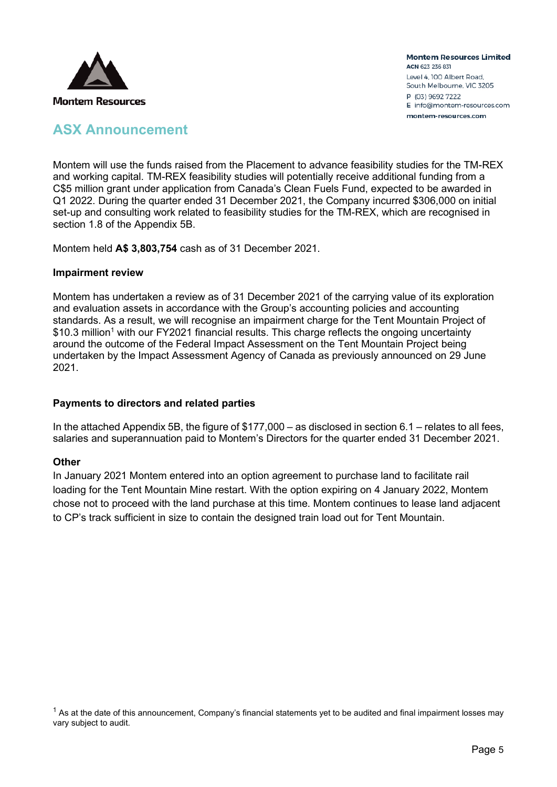

# **ASX Announcement**

Montem will use the funds raised from the Placement to advance feasibility studies for the TM-REX and working capital. TM-REX feasibility studies will potentially receive additional funding from a C\$5 million grant under application from Canada's Clean Fuels Fund, expected to be awarded in Q1 2022. During the quarter ended 31 December 2021, the Company incurred \$306,000 on initial set-up and consulting work related to feasibility studies for the TM-REX, which are recognised in section 1.8 of the Appendix 5B.

Montem held **A\$ 3,803,754** cash as of 31 December 2021.

#### **Impairment review**

Montem has undertaken a review as of 31 December 2021 of the carrying value of its exploration and evaluation assets in accordance with the Group's accounting policies and accounting standards. As a result, we will recognise an impairment charge for the Tent Mountain Project of  $$10.3$  million<sup>1</sup> with our FY2021 financial results. This charge reflects the ongoing uncertainty around the outcome of the Federal Impact Assessment on the Tent Mountain Project being undertaken by the Impact Assessment Agency of Canada as previously announced on 29 June 2021.

#### **Payments to directors and related parties**

In the attached Appendix 5B, the figure of \$177,000 – as disclosed in section 6.1 – relates to all fees, salaries and superannuation paid to Montem's Directors for the quarter ended 31 December 2021.

#### **Other**

In January 2021 Montem entered into an option agreement to purchase land to facilitate rail loading for the Tent Mountain Mine restart. With the option expiring on 4 January 2022, Montem chose not to proceed with the land purchase at this time. Montem continues to lease land adjacent to CP's track sufficient in size to contain the designed train load out for Tent Mountain.

 $1$  As at the date of this announcement, Company's financial statements yet to be audited and final impairment losses may vary subject to audit.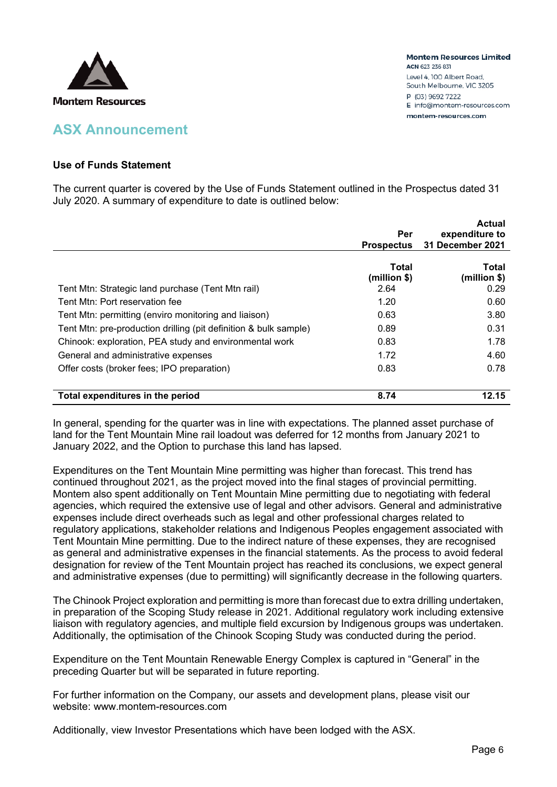

### **ASX Announcement**

#### **Use of Funds Statement**

The current quarter is covered by the Use of Funds Statement outlined in the Prospectus dated 31 July 2020. A summary of expenditure to date is outlined below:

|                                                                  |                   | <b>Actual</b>    |
|------------------------------------------------------------------|-------------------|------------------|
|                                                                  | Per               | expenditure to   |
|                                                                  | <b>Prospectus</b> | 31 December 2021 |
|                                                                  |                   |                  |
|                                                                  | <b>Total</b>      | Total            |
|                                                                  | (million \$)      | (million \$)     |
| Tent Mtn: Strategic land purchase (Tent Mtn rail)                | 2.64              | 0.29             |
| Tent Mtn: Port reservation fee                                   | 1.20              | 0.60             |
| Tent Mtn: permitting (enviro monitoring and liaison)             | 0.63              | 3.80             |
| Tent Mtn: pre-production drilling (pit definition & bulk sample) | 0.89              | 0.31             |
| Chinook: exploration, PEA study and environmental work           | 0.83              | 1.78             |
| General and administrative expenses                              | 1.72              | 4.60             |
| Offer costs (broker fees; IPO preparation)                       | 0.83              | 0.78             |
| Total expenditures in the period                                 | 8.74              | 12.15            |

In general, spending for the quarter was in line with expectations. The planned asset purchase of land for the Tent Mountain Mine rail loadout was deferred for 12 months from January 2021 to January 2022, and the Option to purchase this land has lapsed.

Expenditures on the Tent Mountain Mine permitting was higher than forecast. This trend has continued throughout 2021, as the project moved into the final stages of provincial permitting. Montem also spent additionally on Tent Mountain Mine permitting due to negotiating with federal agencies, which required the extensive use of legal and other advisors. General and administrative expenses include direct overheads such as legal and other professional charges related to regulatory applications, stakeholder relations and Indigenous Peoples engagement associated with Tent Mountain Mine permitting. Due to the indirect nature of these expenses, they are recognised as general and administrative expenses in the financial statements. As the process to avoid federal designation for review of the Tent Mountain project has reached its conclusions, we expect general and administrative expenses (due to permitting) will significantly decrease in the following quarters.

The Chinook Project exploration and permitting is more than forecast due to extra drilling undertaken, in preparation of the Scoping Study release in 2021. Additional regulatory work including extensive liaison with regulatory agencies, and multiple field excursion by Indigenous groups was undertaken. Additionally, the optimisation of the Chinook Scoping Study was conducted during the period.

Expenditure on the Tent Mountain Renewable Energy Complex is captured in "General" in the preceding Quarter but will be separated in future reporting.

For further information on the Company, our assets and development plans, please visit our website: www.montem-resources.com

Additionally, view Investor Presentations which have been lodged with the ASX.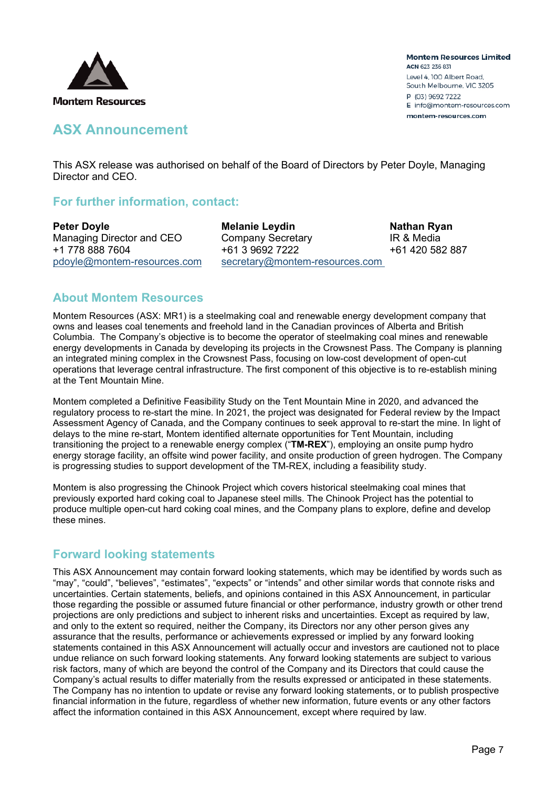

### **ASX Announcement**

This ASX release was authorised on behalf of the Board of Directors by Peter Doyle, Managing Director and CEO.

### **For further information, contact:**

**Peter Doyle Melanie Leydin Nathan Ryan** Managing Director and CEO Company Secretary **IR & Media** +1 778 888 7604 +61 3 9692 7222 +61 420 582 887 [pdoyle@montem-resources.com](mailto:pdoyle@montem-resources.com) [secretary@montem-resources.com](mailto:secretary@montem-resources.com)

### **About Montem Resources**

Montem Resources (ASX: MR1) is a steelmaking coal and renewable energy development company that owns and leases coal tenements and freehold land in the Canadian provinces of Alberta and British Columbia. The Company's objective is to become the operator of steelmaking coal mines and renewable energy developments in Canada by developing its projects in the Crowsnest Pass. The Company is planning an integrated mining complex in the Crowsnest Pass, focusing on low-cost development of open-cut operations that leverage central infrastructure. The first component of this objective is to re-establish mining at the Tent Mountain Mine.

Montem completed a Definitive Feasibility Study on the Tent Mountain Mine in 2020, and advanced the regulatory process to re-start the mine. In 2021, the project was designated for Federal review by the Impact Assessment Agency of Canada, and the Company continues to seek approval to re-start the mine. In light of delays to the mine re-start, Montem identified alternate opportunities for Tent Mountain, including transitioning the project to a renewable energy complex ("**TM-REX**"), employing an onsite pump hydro energy storage facility, an offsite wind power facility, and onsite production of green hydrogen. The Company is progressing studies to support development of the TM-REX, including a feasibility study.

Montem is also progressing the Chinook Project which covers historical steelmaking coal mines that previously exported hard coking coal to Japanese steel mills. The Chinook Project has the potential to produce multiple open-cut hard coking coal mines, and the Company plans to explore, define and develop these mines.

### **Forward looking statements**

This ASX Announcement may contain forward looking statements, which may be identified by words such as "may", "could", "believes", "estimates", "expects" or "intends" and other similar words that connote risks and uncertainties. Certain statements, beliefs, and opinions contained in this ASX Announcement, in particular those regarding the possible or assumed future financial or other performance, industry growth or other trend projections are only predictions and subject to inherent risks and uncertainties. Except as required by law, and only to the extent so required, neither the Company, its Directors nor any other person gives any assurance that the results, performance or achievements expressed or implied by any forward looking statements contained in this ASX Announcement will actually occur and investors are cautioned not to place undue reliance on such forward looking statements. Any forward looking statements are subject to various risk factors, many of which are beyond the control of the Company and its Directors that could cause the Company's actual results to differ materially from the results expressed or anticipated in these statements. The Company has no intention to update or revise any forward looking statements, or to publish prospective financial information in the future, regardless of whether new information, future events or any other factors affect the information contained in this ASX Announcement, except where required by law.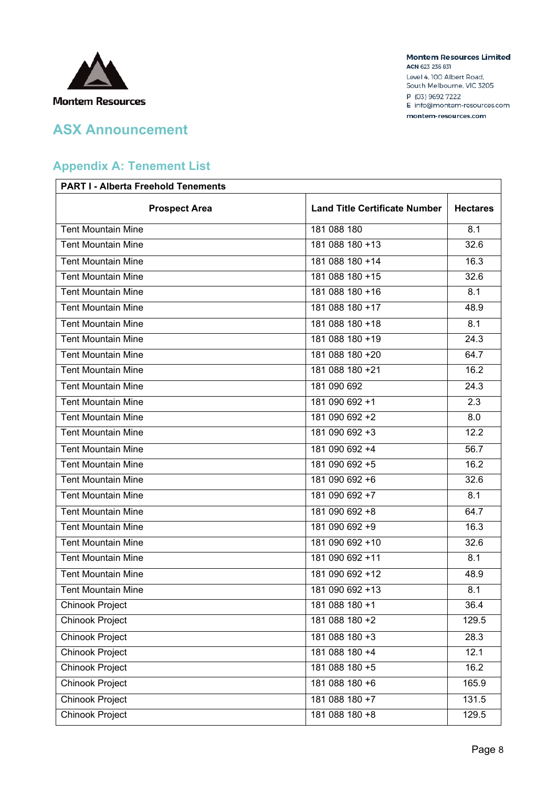

### **Appendix A: Tenement List**

# **PART I - Alberta Freehold Tenements Prospect Area Land Title Certificate Number Hectares** Tent Mountain Mine 181 088 180 8.1 Tent Mountain Mine 181 088 180 +13 32.6 Tent Mountain Mine 18.3 Tent Mountain Mine 181 088 180 +15 181 088 180 +15 32.6 Tent Mountain Mine 18.1 **181 088 180 +16** 8.1 Tent Mountain Mine 181 088 180 +17 181 088 180 +17 181 088 180 +17 181 089 180 +17 Tent Mountain Mine 2012 181 088 180 +18 8.1 Tent Mountain Mine 24.3 Tent Mountain Mine 181 088 180 +20 64.7 Tent Mountain Mine 181 088 180 +21 16.2 Tent Mountain Mine 24.3 Tent Mountain Mine 181 090 692 +1 2.3 Tent Mountain Mine 18.0 Tent Mountain Mine 182.2 Tent Mountain Mine 181 000 692 +4 56.7 Tent Mountain Mine 16.2 Tent Mountain Mine 181 000 692 +6 32.6 Tent Mountain Mine 18.1 **181 090 692 +7** 8.1 Tent Mountain Mine 181 090 692 +8 64.7 Tent Mountain Mine 18.3 Tent Mountain Mine 181 090 692 +10 32.6 Tent Mountain Mine 18.1 and 181 090 692 +11 8.1 Tent Mountain Mine 181 000 692 +12 181 090 692 +12 Tent Mountain Mine 18.1 and 181 090 692 +13 8.1 Chinook Project 26.4 and 2012 181 088 180 +1 36.4 Chinook Project 2.5 129.5 Chinook Project 28.3 Chinook Project 2.1 181 088 180 +4 12.1 Chinook Project 181 088 180 +5 16.2 Chinook Project 181 088 180 +6 165.9 Chinook Project 181 088 180 +7 131.5 Chinook Project 2.9.5 181 088 180 +8 129.5

#### **Montem Resources Limited** ACN 623 236 831

Level 4, 100 Albert Road, South Melbourne, VIC 3205 P (03) 9692 7222 E info@montem-resources.com montem-resources.com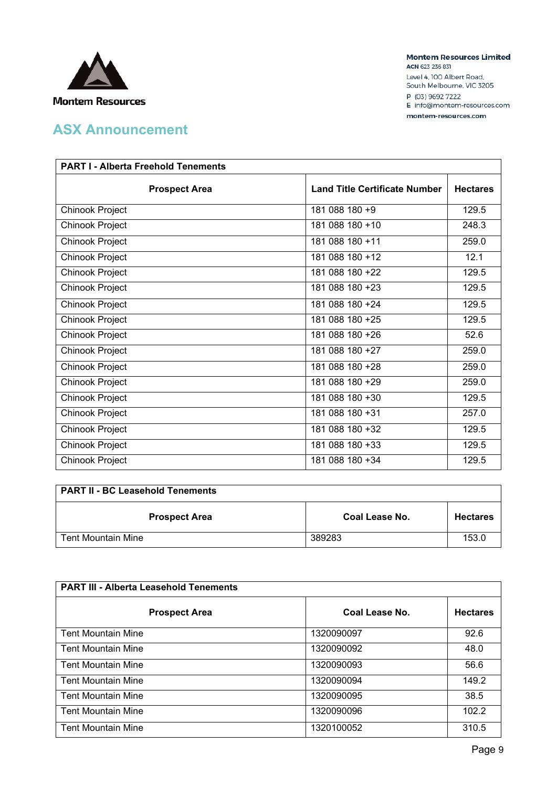

**Montem Resources Limited** ACN 623 236 831

Level 4, 100 Albert Road, South Melbourne, VIC 3205 P (03) 9692 7222 E info@montem-resources.com

montem-resources.com

| <b>PART I - Alberta Freehold Tenements</b> |                                      |                 |  |
|--------------------------------------------|--------------------------------------|-----------------|--|
| <b>Prospect Area</b>                       | <b>Land Title Certificate Number</b> | <b>Hectares</b> |  |
| Chinook Project                            | 181 088 180 +9                       | 129.5           |  |
| Chinook Project                            | 181 088 180 +10                      | 248.3           |  |
| Chinook Project                            | 181 088 180 +11                      | 259.0           |  |
| Chinook Project                            | 181 088 180 +12                      | 12.1            |  |
| Chinook Project                            | 181 088 180 +22                      | 129.5           |  |
| Chinook Project                            | 181 088 180 +23                      | 129.5           |  |
| Chinook Project                            | 181 088 180 +24                      | 129.5           |  |
| Chinook Project                            | 181 088 180 +25                      | 129.5           |  |
| Chinook Project                            | 181 088 180 +26                      | 52.6            |  |
| Chinook Project                            | 181 088 180 +27                      | 259.0           |  |
| Chinook Project                            | 181 088 180 +28                      | 259.0           |  |
| Chinook Project                            | 181 088 180 +29                      | 259.0           |  |
| Chinook Project                            | 181 088 180 +30                      | 129.5           |  |
| Chinook Project                            | 181 088 180 +31                      | 257.0           |  |
| Chinook Project                            | 181 088 180 +32                      | 129.5           |  |
| Chinook Project                            | 181 088 180 +33                      | 129.5           |  |
| Chinook Project                            | 181 088 180 +34                      | 129.5           |  |

| <b>PART II - BC Leasehold Tenements</b> |                |                 |  |
|-----------------------------------------|----------------|-----------------|--|
| <b>Prospect Area</b>                    | Coal Lease No. | <b>Hectares</b> |  |
| <b>Tent Mountain Mine</b>               | 389283         | 153.0           |  |

| <b>PART III - Alberta Leasehold Tenements</b> |                |                 |  |
|-----------------------------------------------|----------------|-----------------|--|
| <b>Prospect Area</b>                          | Coal Lease No. | <b>Hectares</b> |  |
| <b>Tent Mountain Mine</b>                     | 1320090097     | 92.6            |  |
| <b>Tent Mountain Mine</b>                     | 1320090092     | 48.0            |  |
| <b>Tent Mountain Mine</b>                     | 1320090093     | 56.6            |  |
| <b>Tent Mountain Mine</b>                     | 1320090094     | 149.2           |  |
| <b>Tent Mountain Mine</b>                     | 1320090095     | 38.5            |  |
| <b>Tent Mountain Mine</b>                     | 1320090096     | 102.2           |  |
| <b>Tent Mountain Mine</b>                     | 1320100052     | 310.5           |  |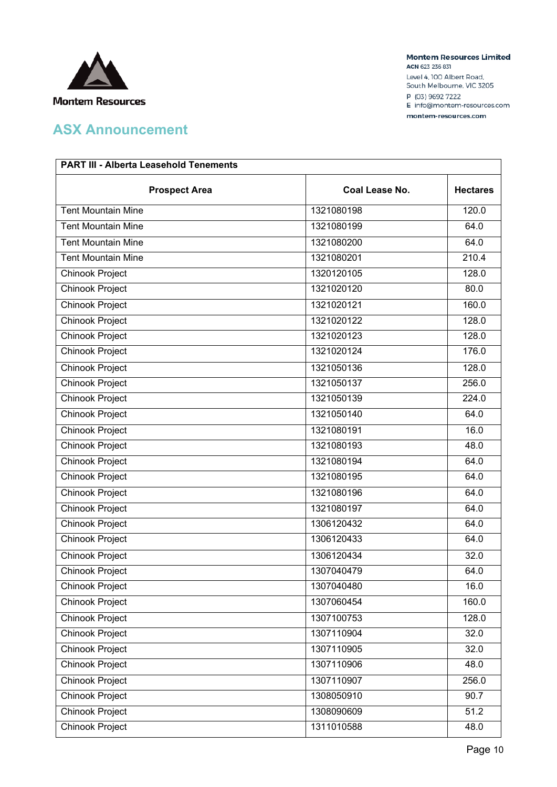

**Montem Resources Limited** ACN 623 236 831

Level 4, 100 Albert Road, South Melbourne, VIC 3205 P (03) 9692 7222 E info@montem-resources.com

montem-resources.com

| <b>PART III - Alberta Leasehold Tenements</b> |                |                 |  |
|-----------------------------------------------|----------------|-----------------|--|
| <b>Prospect Area</b>                          | Coal Lease No. | <b>Hectares</b> |  |
| <b>Tent Mountain Mine</b>                     | 1321080198     | 120.0           |  |
| <b>Tent Mountain Mine</b>                     | 1321080199     | 64.0            |  |
| <b>Tent Mountain Mine</b>                     | 1321080200     | 64.0            |  |
| <b>Tent Mountain Mine</b>                     | 1321080201     | 210.4           |  |
| Chinook Project                               | 1320120105     | 128.0           |  |
| <b>Chinook Project</b>                        | 1321020120     | 80.0            |  |
| <b>Chinook Project</b>                        | 1321020121     | 160.0           |  |
| <b>Chinook Project</b>                        | 1321020122     | 128.0           |  |
| Chinook Project                               | 1321020123     | 128.0           |  |
| <b>Chinook Project</b>                        | 1321020124     | 176.0           |  |
| <b>Chinook Project</b>                        | 1321050136     | 128.0           |  |
| <b>Chinook Project</b>                        | 1321050137     | 256.0           |  |
| <b>Chinook Project</b>                        | 1321050139     | 224.0           |  |
| Chinook Project                               | 1321050140     | 64.0            |  |
| <b>Chinook Project</b>                        | 1321080191     | 16.0            |  |
| <b>Chinook Project</b>                        | 1321080193     | 48.0            |  |
| <b>Chinook Project</b>                        | 1321080194     | 64.0            |  |
| <b>Chinook Project</b>                        | 1321080195     | 64.0            |  |
| <b>Chinook Project</b>                        | 1321080196     | 64.0            |  |
| <b>Chinook Project</b>                        | 1321080197     | 64.0            |  |
| Chinook Project                               | 1306120432     | 64.0            |  |
| Chinook Project                               | 1306120433     | 64.0            |  |
| Chinook Project                               | 1306120434     | 32.0            |  |
| <b>Chinook Project</b>                        | 1307040479     | 64.0            |  |
| Chinook Project                               | 1307040480     | 16.0            |  |
| Chinook Project                               | 1307060454     | 160.0           |  |
| <b>Chinook Project</b>                        | 1307100753     | 128.0           |  |
| <b>Chinook Project</b>                        | 1307110904     | 32.0            |  |
| <b>Chinook Project</b>                        | 1307110905     | 32.0            |  |
| <b>Chinook Project</b>                        | 1307110906     | 48.0            |  |
| Chinook Project                               | 1307110907     | 256.0           |  |
| <b>Chinook Project</b>                        | 1308050910     | 90.7            |  |
| Chinook Project                               | 1308090609     | 51.2            |  |
| Chinook Project                               | 1311010588     | 48.0            |  |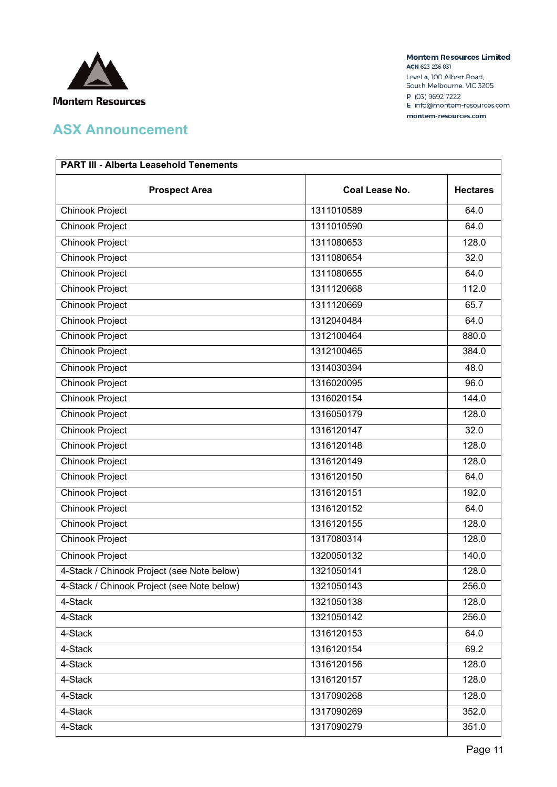

**Montem Resources Limited** ACN 623 236 831

Level 4, 100 Albert Road, South Melbourne, VIC 3205 P (03) 9692 7222 E info@montem-resources.com

montem-resources.com

| <b>PART III - Alberta Leasehold Tenements</b> |                |                 |  |
|-----------------------------------------------|----------------|-----------------|--|
| <b>Prospect Area</b>                          | Coal Lease No. | <b>Hectares</b> |  |
| Chinook Project                               | 1311010589     | 64.0            |  |
| Chinook Project                               | 1311010590     | 64.0            |  |
| Chinook Project                               | 1311080653     | 128.0           |  |
| Chinook Project                               | 1311080654     | 32.0            |  |
| <b>Chinook Project</b>                        | 1311080655     | 64.0            |  |
| <b>Chinook Project</b>                        | 1311120668     | 112.0           |  |
| <b>Chinook Project</b>                        | 1311120669     | 65.7            |  |
| <b>Chinook Project</b>                        | 1312040484     | 64.0            |  |
| <b>Chinook Project</b>                        | 1312100464     | 880.0           |  |
| Chinook Project                               | 1312100465     | 384.0           |  |
| <b>Chinook Project</b>                        | 1314030394     | 48.0            |  |
| <b>Chinook Project</b>                        | 1316020095     | 96.0            |  |
| <b>Chinook Project</b>                        | 1316020154     | 144.0           |  |
| Chinook Project                               | 1316050179     | 128.0           |  |
| <b>Chinook Project</b>                        | 1316120147     | 32.0            |  |
| <b>Chinook Project</b>                        | 1316120148     | 128.0           |  |
| <b>Chinook Project</b>                        | 1316120149     | 128.0           |  |
| Chinook Project                               | 1316120150     | 64.0            |  |
| <b>Chinook Project</b>                        | 1316120151     | 192.0           |  |
| <b>Chinook Project</b>                        | 1316120152     | 64.0            |  |
| <b>Chinook Project</b>                        | 1316120155     | 128.0           |  |
| Chinook Project                               | 1317080314     | 128.0           |  |
| Chinook Project                               | 1320050132     | 140.0           |  |
| 4-Stack / Chinook Project (see Note below)    | 1321050141     | 128.0           |  |
| 4-Stack / Chinook Project (see Note below)    | 1321050143     | 256.0           |  |
| 4-Stack                                       | 1321050138     | 128.0           |  |
| 4-Stack                                       | 1321050142     | 256.0           |  |
| 4-Stack                                       | 1316120153     | 64.0            |  |
| 4-Stack                                       | 1316120154     | 69.2            |  |
| 4-Stack                                       | 1316120156     | 128.0           |  |
| 4-Stack                                       | 1316120157     | 128.0           |  |
| 4-Stack                                       | 1317090268     | 128.0           |  |
| 4-Stack                                       | 1317090269     | 352.0           |  |
| 4-Stack                                       | 1317090279     | 351.0           |  |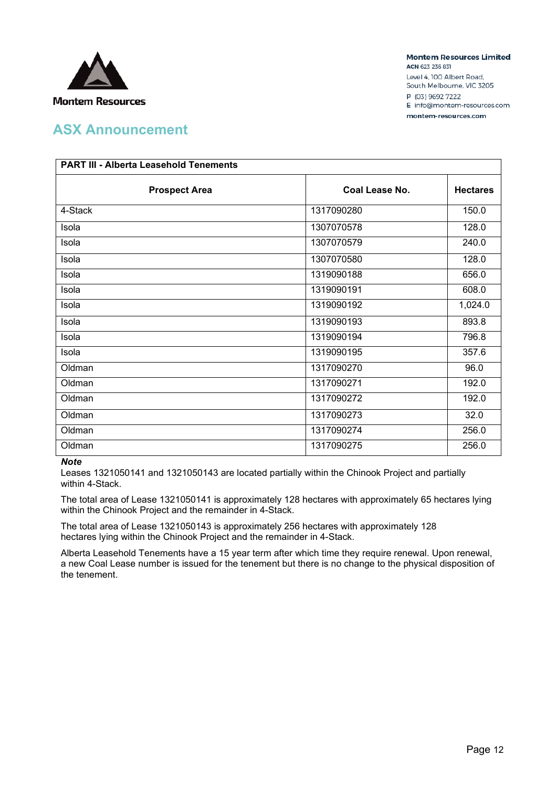

**Montem Resources Limited** ACN 623 236 831 Level 4, 100 Albert Road,

South Melbourne, VIC 3205 P (03) 9692 7222 E info@montem-resources.com

montem-resources.com

| <b>PART III - Alberta Leasehold Tenements</b> |                |                 |  |
|-----------------------------------------------|----------------|-----------------|--|
| <b>Prospect Area</b>                          | Coal Lease No. | <b>Hectares</b> |  |
| 4-Stack                                       | 1317090280     | 150.0           |  |
| Isola                                         | 1307070578     | 128.0           |  |
| Isola                                         | 1307070579     | 240.0           |  |
| Isola                                         | 1307070580     | 128.0           |  |
| Isola                                         | 1319090188     | 656.0           |  |
| Isola                                         | 1319090191     | 608.0           |  |
| Isola                                         | 1319090192     | 1,024.0         |  |
| Isola                                         | 1319090193     | 893.8           |  |
| Isola                                         | 1319090194     | 796.8           |  |
| Isola                                         | 1319090195     | 357.6           |  |
| Oldman                                        | 1317090270     | 96.0            |  |
| Oldman                                        | 1317090271     | 192.0           |  |
| Oldman                                        | 1317090272     | 192.0           |  |
| Oldman                                        | 1317090273     | 32.0            |  |
| Oldman                                        | 1317090274     | 256.0           |  |
| Oldman                                        | 1317090275     | 256.0           |  |

#### *Note*

Leases 1321050141 and 1321050143 are located partially within the Chinook Project and partially within 4-Stack.

The total area of Lease 1321050141 is approximately 128 hectares with approximately 65 hectares lying within the Chinook Project and the remainder in 4-Stack.

The total area of Lease 1321050143 is approximately 256 hectares with approximately 128 hectares lying within the Chinook Project and the remainder in 4-Stack.

Alberta Leasehold Tenements have a 15 year term after which time they require renewal. Upon renewal, a new Coal Lease number is issued for the tenement but there is no change to the physical disposition of the tenement.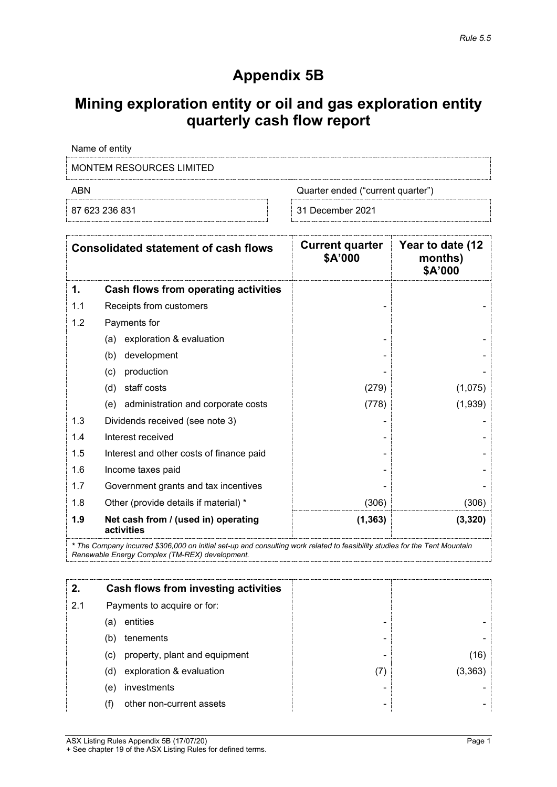# **Appendix 5B**

# **Mining exploration entity or oil and gas exploration entity quarterly cash flow report**

Name of entity

MONTEM RESOURCES LIMITED

ABN Quarter ended ("current quarter")

87 623 236 831 31 December 2021

|     | <b>Consolidated statement of cash flows</b>       | <b>Current quarter</b><br>\$A'000 | Year to date (12<br>months)<br>\$A'000 |
|-----|---------------------------------------------------|-----------------------------------|----------------------------------------|
| 1.  | Cash flows from operating activities              |                                   |                                        |
| 1.1 | Receipts from customers                           |                                   |                                        |
| 1.2 | Payments for                                      |                                   |                                        |
|     | exploration & evaluation<br>(a)                   |                                   |                                        |
|     | development<br>(b)                                |                                   |                                        |
|     | production<br>(c)                                 |                                   |                                        |
|     | staff costs<br>(d)                                | (279)                             | (1,075)                                |
|     | administration and corporate costs<br>(e)         | (778)                             | (1,939)                                |
| 1.3 | Dividends received (see note 3)                   |                                   |                                        |
| 1.4 | Interest received                                 |                                   |                                        |
| 1.5 | Interest and other costs of finance paid          |                                   |                                        |
| 1.6 | Income taxes paid                                 |                                   |                                        |
| 1.7 | Government grants and tax incentives              |                                   |                                        |
| 1.8 | Other (provide details if material) *             | (306)                             | (306)                                  |
| 1.9 | Net cash from / (used in) operating<br>activities | (1, 363)                          | (3, 320)                               |

*\* The Company incurred \$306,000 on initial set-up and consulting work related to feasibility studies for the Tent Mountain Renewable Energy Complex (TM-REX) development.*

|     |     | Cash flows from investing activities |                          |         |
|-----|-----|--------------------------------------|--------------------------|---------|
| 2.1 |     | Payments to acquire or for:          |                          |         |
|     | (a) | entities                             | -                        |         |
|     | (b) | tenements                            | ۰                        |         |
|     | (C) | property, plant and equipment        | -                        | (16)    |
|     | (d) | exploration & evaluation             |                          | (3.363) |
|     | (e) | investments                          | -                        |         |
|     |     | other non-current assets             | $\overline{\phantom{0}}$ |         |

ASX Listing Rules Appendix 5B (17/07/20) **Page 1** + See chapter 19 of the ASX Listing Rules for defined terms.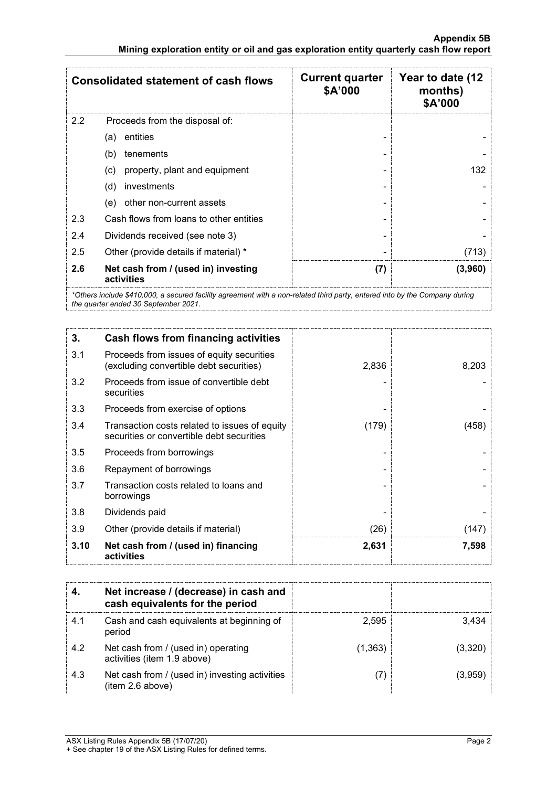|               | <b>Consolidated statement of cash flows</b>       | <b>Current quarter</b><br>\$A'000 | Year to date (12<br>months)<br><b>\$A'000</b> |
|---------------|---------------------------------------------------|-----------------------------------|-----------------------------------------------|
| $2.2^{\circ}$ | Proceeds from the disposal of:                    |                                   |                                               |
|               | entities<br>(a)                                   |                                   |                                               |
|               | tenements<br>(b)                                  |                                   |                                               |
|               | property, plant and equipment<br>(c)              |                                   | 132.                                          |
|               | investments<br>(d)                                |                                   |                                               |
|               | other non-current assets<br>(e)                   |                                   |                                               |
| 2.3           | Cash flows from loans to other entities           |                                   |                                               |
| 2.4           | Dividends received (see note 3)                   |                                   |                                               |
| 2.5           | Other (provide details if material) *             |                                   |                                               |
| 2.6           | Net cash from / (used in) investing<br>activities | (7)                               | (3,960)                                       |

*\*Others include \$410,000, a secured facility agreement with a non-related third party, entered into by the Company during the quarter ended 30 September 2021.*

| 3.   | <b>Cash flows from financing activities</b>                                                |       |       |
|------|--------------------------------------------------------------------------------------------|-------|-------|
| 3.1  | Proceeds from issues of equity securities<br>(excluding convertible debt securities)       | 2,836 | 8,203 |
| 3.2  | Proceeds from issue of convertible debt<br>securities                                      |       |       |
| 3.3  | Proceeds from exercise of options                                                          |       |       |
| 3.4  | Transaction costs related to issues of equity<br>securities or convertible debt securities | (179) | (458) |
| 3.5  | Proceeds from borrowings                                                                   |       |       |
| 3.6  | Repayment of borrowings                                                                    |       |       |
| 3.7  | Transaction costs related to loans and<br>borrowings                                       |       |       |
| 3.8  | Dividends paid                                                                             |       |       |
| 3.9  | Other (provide details if material)                                                        | (26)  | 147   |
| 3.10 | Net cash from / (used in) financing<br>activities                                          | 2,631 | 7,598 |

|     | Net increase / (decrease) in cash and<br>cash equivalents for the period |         |  |
|-----|--------------------------------------------------------------------------|---------|--|
| 4.1 | Cash and cash equivalents at beginning of<br>period                      | 2.595   |  |
| 4.2 | Net cash from / (used in) operating<br>activities (item 1.9 above)       | (1,363) |  |
| 4.3 | Net cash from / (used in) investing activities<br>(item 2.6 above)       |         |  |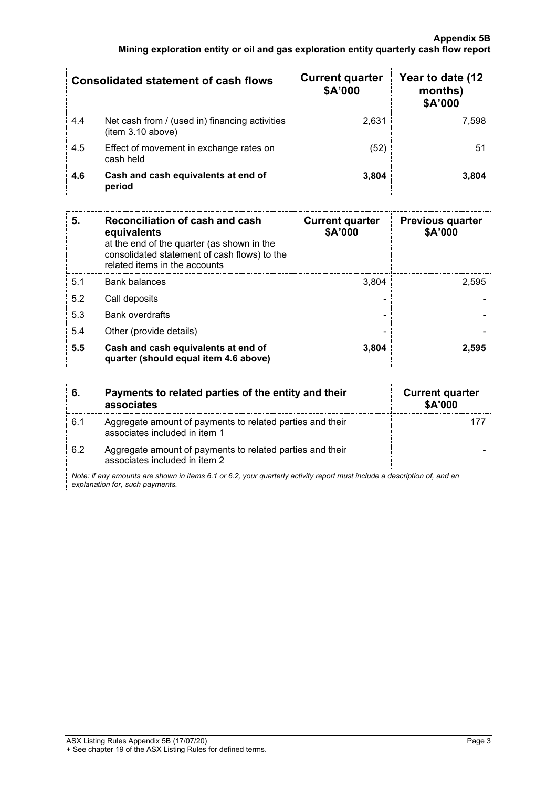#### **Appendix 5B Mining exploration entity or oil and gas exploration entity quarterly cash flow report**

| Consolidated statement of cash flows |                                                                    | <b>Current quarter</b><br>\$A'000 | Year to date (12<br>months)<br><b>\$A'000</b> |
|--------------------------------------|--------------------------------------------------------------------|-----------------------------------|-----------------------------------------------|
| 4.4                                  | Net cash from / (used in) financing activities<br>item 3.10 above) | 2.631                             | 7.598                                         |
| 4.5                                  | Effect of movement in exchange rates on<br>cash held               | '52'                              |                                               |
| 4.6                                  | Cash and cash equivalents at end of<br>period                      | 3,804                             |                                               |

| 5.  | <b>Reconciliation of cash and cash</b><br>equivalents<br>at the end of the quarter (as shown in the<br>consolidated statement of cash flows) to the<br>related items in the accounts | <b>Current quarter</b><br>\$A'000 | <b>Previous quarter</b><br>\$A'000 |
|-----|--------------------------------------------------------------------------------------------------------------------------------------------------------------------------------------|-----------------------------------|------------------------------------|
| 5.1 | Bank balances                                                                                                                                                                        | 3.804                             | 2.595                              |
| 5.2 | Call deposits                                                                                                                                                                        |                                   |                                    |
| 5.3 | <b>Bank overdrafts</b>                                                                                                                                                               |                                   |                                    |
| 5.4 | Other (provide details)                                                                                                                                                              |                                   |                                    |
| 5.5 | Cash and cash equivalents at end of<br>quarter (should equal item 4.6 above)                                                                                                         | 3,804                             | 2.595                              |

|     | Payments to related parties of the entity and their<br>associates                                                                                           | <b>Current quarter</b><br><b>\$A'000</b> |
|-----|-------------------------------------------------------------------------------------------------------------------------------------------------------------|------------------------------------------|
| 6.1 | Aggregate amount of payments to related parties and their<br>associates included in item 1                                                                  |                                          |
| 6.2 | Aggregate amount of payments to related parties and their<br>associates included in item 2                                                                  |                                          |
|     | Note: if any amounts are shown in items 6.1 or 6.2, your quarterly activity report must include a description of, and an<br>explanation for, such payments. |                                          |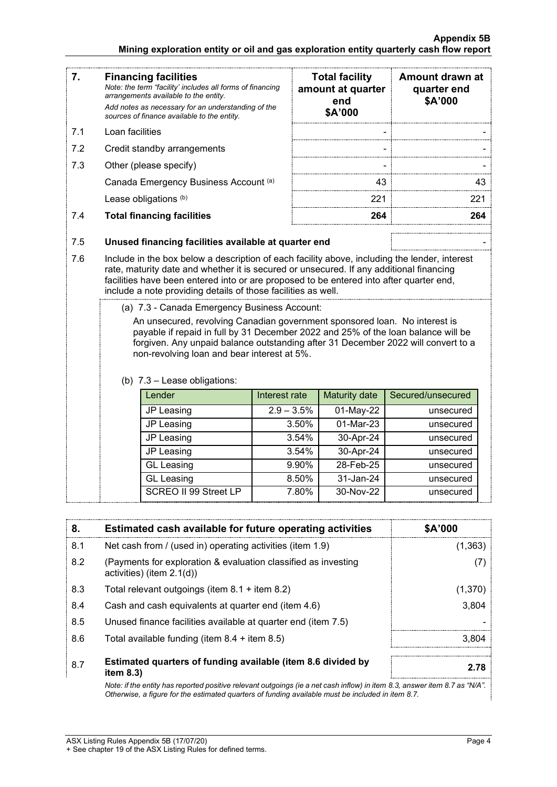#### **Appendix 5B Mining exploration entity or oil and gas exploration entity quarterly cash flow report**

| 7.         | <b>Financing facilities</b><br>Note: the term "facility' includes all forms of financing<br>arrangements available to the entity.<br>Add notes as necessary for an understanding of the<br>sources of finance available to the entity.                                                                                                                                                                                                                       |                                       |              | <b>Total facility</b><br>amount at quarter<br>end<br>\$A'000 | Amount drawn at<br>quarter end<br>\$A'000 |
|------------|--------------------------------------------------------------------------------------------------------------------------------------------------------------------------------------------------------------------------------------------------------------------------------------------------------------------------------------------------------------------------------------------------------------------------------------------------------------|---------------------------------------|--------------|--------------------------------------------------------------|-------------------------------------------|
| 7.1        | Loan facilities                                                                                                                                                                                                                                                                                                                                                                                                                                              |                                       |              |                                                              |                                           |
| 7.2        |                                                                                                                                                                                                                                                                                                                                                                                                                                                              | Credit standby arrangements           |              |                                                              |                                           |
| 7.3        |                                                                                                                                                                                                                                                                                                                                                                                                                                                              | Other (please specify)                |              |                                                              |                                           |
|            |                                                                                                                                                                                                                                                                                                                                                                                                                                                              | Canada Emergency Business Account (a) |              | 43                                                           | 43                                        |
|            |                                                                                                                                                                                                                                                                                                                                                                                                                                                              | Lease obligations (b)                 |              | 221                                                          | 221                                       |
| 7.4        | <b>Total financing facilities</b>                                                                                                                                                                                                                                                                                                                                                                                                                            |                                       |              | 264                                                          | 264                                       |
| 7.5<br>7.6 | Unused financing facilities available at quarter end<br>Include in the box below a description of each facility above, including the lender, interest<br>rate, maturity date and whether it is secured or unsecured. If any additional financing<br>facilities have been entered into or are proposed to be entered into after quarter end,<br>include a note providing details of those facilities as well.<br>(a) 7.3 - Canada Emergency Business Account: |                                       |              |                                                              |                                           |
|            | An unsecured, revolving Canadian government sponsored loan. No interest is<br>payable if repaid in full by 31 December 2022 and 25% of the loan balance will be<br>forgiven. Any unpaid balance outstanding after 31 December 2022 will convert to a<br>non-revolving loan and bear interest at 5%.<br>(b) 7.3 - Lease obligations:<br>Lender<br>Secured/unsecured<br>Interest rate<br>Maturity date                                                         |                                       |              |                                                              |                                           |
|            |                                                                                                                                                                                                                                                                                                                                                                                                                                                              | JP Leasing                            | $2.9 - 3.5%$ | 01-May-22                                                    | unsecured                                 |
|            |                                                                                                                                                                                                                                                                                                                                                                                                                                                              | JP Leasing                            | 3.50%        | 01-Mar-23                                                    | unsecured                                 |
|            |                                                                                                                                                                                                                                                                                                                                                                                                                                                              | JP Leasing                            | 3.54%        | 30-Apr-24                                                    | unsecured                                 |
|            |                                                                                                                                                                                                                                                                                                                                                                                                                                                              | JP Leasing                            | 3.54%        | 30-Apr-24                                                    | unsecured                                 |
|            |                                                                                                                                                                                                                                                                                                                                                                                                                                                              | <b>GL Leasing</b>                     | 9.90%        | 28-Feb-25                                                    | unsecured                                 |
|            |                                                                                                                                                                                                                                                                                                                                                                                                                                                              | <b>GL Leasing</b>                     | 8.50%        | 31-Jan-24                                                    | unsecured                                 |
|            |                                                                                                                                                                                                                                                                                                                                                                                                                                                              | SCREO II 99 Street LP                 | 7.80%        | 30-Nov-22                                                    | unsecured                                 |

| 8.  | Estimated cash available for future operating activities                                       | \$A'000 |
|-----|------------------------------------------------------------------------------------------------|---------|
| 8.1 | Net cash from / (used in) operating activities (item 1.9)                                      | (1,363) |
| 8.2 | (Payments for exploration & evaluation classified as investing<br>activities) (item $2.1(d)$ ) |         |
| 8.3 | Total relevant outgoings (item $8.1$ + item $8.2$ )                                            | (1,370) |
| 8.4 | Cash and cash equivalents at quarter end (item 4.6)                                            | 3,804   |
| 8.5 | Unused finance facilities available at quarter end (item 7.5)                                  |         |
| 8.6 | Total available funding (item $8.4 +$ item $8.5$ )                                             | 3.804   |
| 8.7 | Estimated quarters of funding available (item 8.6 divided by<br>item $8.3$ )                   | 2.78    |

*Note: if the entity has reported positive relevant outgoings (ie a net cash inflow) in item 8.3, answer item 8.7 as "N/A". Otherwise, a figure for the estimated quarters of funding available must be included in item 8.7.*